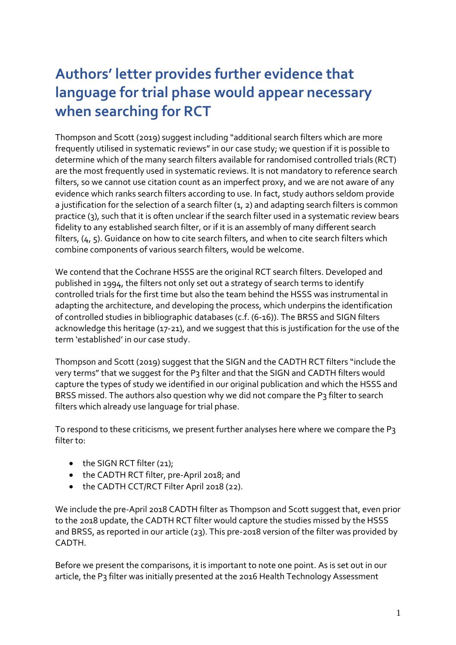# **Authors' letter provides further evidence that language for trial phase would appear necessary when searching for RCT**

Thompson and Scott (2019) suggest including "additional search filters which are more frequently utilised in systematic reviews" in our case study; we question if it is possible to determine which of the many search filters available for randomised controlled trials (RCT) are the most frequently used in systematic reviews. It is not mandatory to reference search filters, so we cannot use citation count as an imperfect proxy, and we are not aware of any evidence which ranks search filters according to use. In fact, study authors seldom provide a justification for the selection of a search filter (1, 2) and adapting search filters is common practice (3), such that it is often unclear if the search filter used in a systematic review bears fidelity to any established search filter, or if it is an assembly of many different search filters,  $(4, 5)$ . Guidance on how to cite search filters, and when to cite search filters which combine components of various search filters, would be welcome.

We contend that the Cochrane HSSS are the original RCT search filters. Developed and published in 1994, the filters not only set out a strategy of search terms to identify controlled trials for the first time but also the team behind the HSSS was instrumental in adapting the architecture, and developing the process, which underpins the identification of controlled studies in bibliographic databases (c.f. (6-16)). The BRSS and SIGN filters acknowledge this heritage (17-21), and we suggest that this is justification for the use of the term 'established' in our case study.

Thompson and Scott (2019) suggest that the SIGN and the CADTH RCT filters "include the very terms" that we suggest for the P3 filter and that the SIGN and CADTH filters would capture the types of study we identified in our original publication and which the HSSS and BRSS missed. The authors also question why we did not compare the P3 filter to search filters which already use language for trial phase.

To respond to these criticisms, we present further analyses here where we compare the P3 filter to:

- $\bullet$  the SIGN RCT filter (21);
- the CADTH RCT filter, pre-April 2018; and
- the CADTH CCT/RCT Filter April 2018 (22).

We include the pre-April 2018 CADTH filter as Thompson and Scott suggest that, even prior to the 2018 update, the CADTH RCT filter would capture the studies missed by the HSSS and BRSS, as reported in our article (23). This pre-2018 version of the filter was provided by CADTH.

Before we present the comparisons, it is important to note one point. As is set out in our article, the P3 filter was initially presented at the 2016 Health Technology Assessment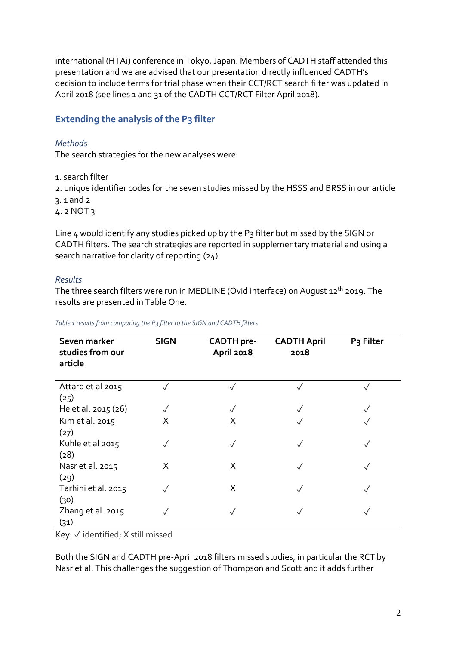international (HTAi) conference in Tokyo, Japan. Members of CADTH staff attended this presentation and we are advised that our presentation directly influenced CADTH's decision to include terms for trial phase when their CCT/RCT search filter was updated in April 2018 (see lines 1 and 31 of the CADTH CCT/RCT Filter April 2018).

# **Extending the analysis of the P3 filter**

### *Methods*

The search strategies for the new analyses were:

1. search filter

2. unique identifier codes for the seven studies missed by the HSSS and BRSS in our article

3. 1 and 2

4. 2 NOT 3

Line 4 would identify any studies picked up by the P3 filter but missed by the SIGN or CADTH filters. The search strategies are reported in supplementary material and using a search narrative for clarity of reporting (24).

#### *Results*

The three search filters were run in MEDLINE (Ovid interface) on August 12<sup>th</sup> 2019. The results are presented in Table One.

*Table 1 results from comparing the P3 filter to the SIGN and CADTH filters*

| Seven marker<br>studies from our<br>article | <b>SIGN</b> | <b>CADTH</b> pre-<br><b>April 2018</b> | <b>CADTH April</b><br>2018 | P <sub>3</sub> Filter |
|---------------------------------------------|-------------|----------------------------------------|----------------------------|-----------------------|
| Attard et al 2015<br>(25)                   |             |                                        | $\checkmark$               |                       |
| He et al. 2015 (26)                         |             |                                        | $\sqrt{}$                  |                       |
| Kim et al. 2015<br>(27)                     | X           | X                                      |                            |                       |
| Kuhle et al 2015<br>(28)                    |             |                                        | $\checkmark$               |                       |
| Nasr et al. 2015<br>(29)                    | X           | X                                      | $\checkmark$               |                       |
| Tarhini et al. 2015<br>(30)                 |             | Χ                                      | $\checkmark$               |                       |
| Zhang et al. 2015<br>(31)                   |             |                                        | √                          |                       |

Key: ✓ identified; X still missed

Both the SIGN and CADTH pre-April 2018 filters missed studies, in particular the RCT by Nasr et al. This challenges the suggestion of Thompson and Scott and it adds further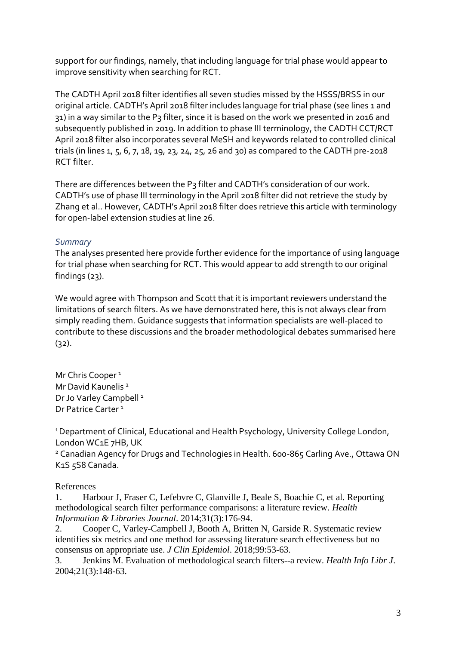support for our findings, namely, that including language for trial phase would appear to improve sensitivity when searching for RCT.

The CADTH April 2018 filter identifies all seven studies missed by the HSSS/BRSS in our original article. CADTH's April 2018 filter includes language for trial phase (see lines 1 and 31) in a way similar to the P3 filter, since it is based on the work we presented in 2016 and subsequently published in 2019. In addition to phase III terminology, the CADTH CCT/RCT April 2018 filter also incorporates several MeSH and keywords related to controlled clinical trials (in lines 1, 5, 6, 7, 18, 19, 23, 24, 25, 26 and 30) as compared to the CADTH pre-2018 RCT filter.

There are differences between the P3 filter and CADTH's consideration of our work. CADTH's use of phase III terminology in the April 2018 filter did not retrieve the study by Zhang et al.. However, CADTH's April 2018 filter does retrieve this article with terminology for open-label extension studies at line 26.

# *Summary*

The analyses presented here provide further evidence for the importance of using language for trial phase when searching for RCT. This would appear to add strength to our original findings (23).

We would agree with Thompson and Scott that it is important reviewers understand the limitations of search filters. As we have demonstrated here, this is not always clear from simply reading them. Guidance suggests that information specialists are well-placed to contribute to these discussions and the broader methodological debates summarised here  $(32).$ 

Mr Chris Cooper<sup>1</sup> Mr David Kaunelis<sup>2</sup> Dr Jo Varley Campbell<sup>1</sup> Dr Patrice Carter<sup>1</sup>

<sup>1</sup> Department of Clinical, Educational and Health Psychology, University College London, London WC1E 7HB, UK

<sup>2</sup> Canadian Agency for Drugs and Technologies in Health. 600-865 Carling Ave., Ottawa ON K1S 5S8 Canada.

# References

1. Harbour J, Fraser C, Lefebvre C, Glanville J, Beale S, Boachie C, et al. Reporting methodological search filter performance comparisons: a literature review. *Health Information & Libraries Journal*. 2014;31(3):176-94.

2. Cooper C, Varley-Campbell J, Booth A, Britten N, Garside R. Systematic review identifies six metrics and one method for assessing literature search effectiveness but no consensus on appropriate use. *J Clin Epidemiol*. 2018;99:53-63.

3. Jenkins M. Evaluation of methodological search filters--a review. *Health Info Libr J*. 2004;21(3):148-63.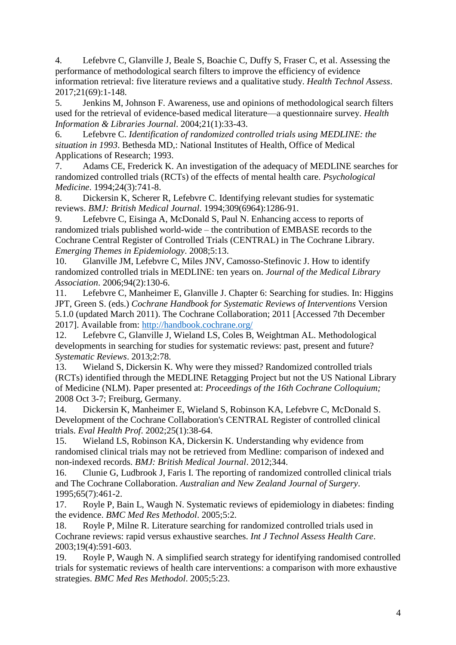4. Lefebvre C, Glanville J, Beale S, Boachie C, Duffy S, Fraser C, et al. Assessing the performance of methodological search filters to improve the efficiency of evidence information retrieval: five literature reviews and a qualitative study. *Health Technol Assess*. 2017;21(69):1-148.

5. Jenkins M, Johnson F. Awareness, use and opinions of methodological search filters used for the retrieval of evidence-based medical literature—a questionnaire survey. *Health Information & Libraries Journal*. 2004;21(1):33-43.

6. Lefebvre C. *Identification of randomized controlled trials using MEDLINE: the situation in 1993*. Bethesda MD,: National Institutes of Health, Office of Medical Applications of Research; 1993.

7. Adams CE, Frederick K. An investigation of the adequacy of MEDLINE searches for randomized controlled trials (RCTs) of the effects of mental health care. *Psychological Medicine*. 1994;24(3):741-8.

8. Dickersin K, Scherer R, Lefebvre C. Identifying relevant studies for systematic reviews. *BMJ: British Medical Journal*. 1994;309(6964):1286-91.

9. Lefebvre C, Eisinga A, McDonald S, Paul N. Enhancing access to reports of randomized trials published world-wide – the contribution of EMBASE records to the Cochrane Central Register of Controlled Trials (CENTRAL) in The Cochrane Library. *Emerging Themes in Epidemiology*. 2008;5:13.

10. Glanville JM, Lefebvre C, Miles JNV, Camosso-Stefinovic J. How to identify randomized controlled trials in MEDLINE: ten years on. *Journal of the Medical Library Association*. 2006;94(2):130-6.

11. Lefebvre C, Manheimer E, Glanville J. Chapter 6: Searching for studies. In: Higgins JPT, Green S. (eds.) *Cochrane Handbook for Systematic Reviews of Interventions* Version 5.1.0 (updated March 2011). The Cochrane Collaboration; 2011 [Accessed 7th December 2017]. Available from:<http://handbook.cochrane.org/>

12. Lefebvre C, Glanville J, Wieland LS, Coles B, Weightman AL. Methodological developments in searching for studies for systematic reviews: past, present and future? *Systematic Reviews*. 2013;2:78.

13. Wieland S, Dickersin K. Why were they missed? Randomized controlled trials (RCTs) identified through the MEDLINE Retagging Project but not the US National Library of Medicine (NLM). Paper presented at: *Proceedings of the 16th Cochrane Colloquium;* 2008 Oct 3-7; Freiburg, Germany.

14. Dickersin K, Manheimer E, Wieland S, Robinson KA, Lefebvre C, McDonald S. Development of the Cochrane Collaboration's CENTRAL Register of controlled clinical trials. *Eval Health Prof*. 2002;25(1):38-64.

15. Wieland LS, Robinson KA, Dickersin K. Understanding why evidence from randomised clinical trials may not be retrieved from Medline: comparison of indexed and non-indexed records. *BMJ: British Medical Journal*. 2012;344.

16. Clunie G, Ludbrook J, Faris I. The reporting of randomized controlled clinical trials and The Cochrane Collaboration. *Australian and New Zealand Journal of Surgery*. 1995;65(7):461-2.

17. Royle P, Bain L, Waugh N. Systematic reviews of epidemiology in diabetes: finding the evidence. *BMC Med Res Methodol*. 2005;5:2.

18. Royle P, Milne R. Literature searching for randomized controlled trials used in Cochrane reviews: rapid versus exhaustive searches. *Int J Technol Assess Health Care*. 2003;19(4):591-603.

19. Royle P, Waugh N. A simplified search strategy for identifying randomised controlled trials for systematic reviews of health care interventions: a comparison with more exhaustive strategies. *BMC Med Res Methodol*. 2005;5:23.